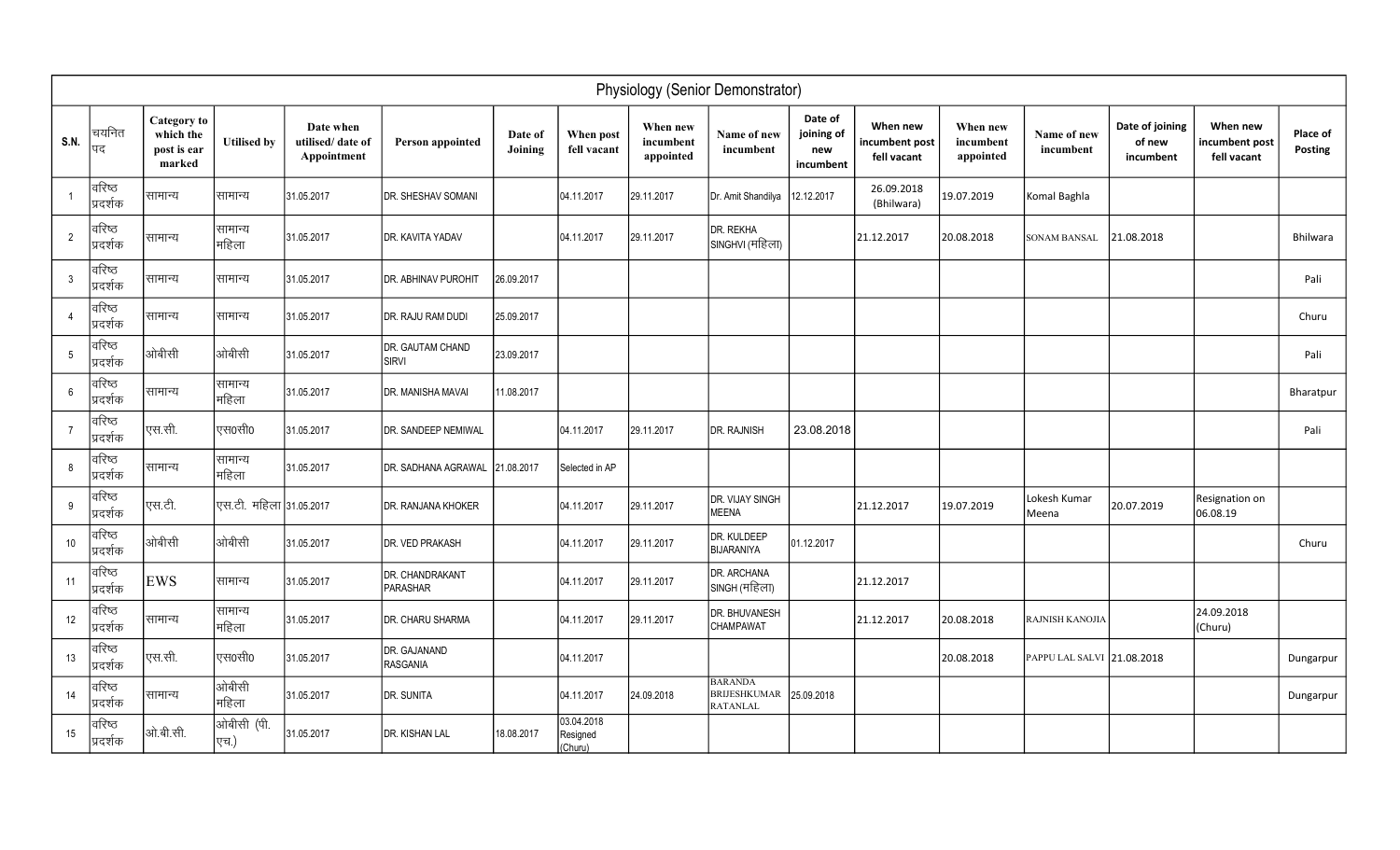| Physiology (Senior Demonstrator) |                    |                                                          |                         |                                              |                                  |                    |                                   |                                    |                                                   |                                           |                                           |                                    |                            |                                        |                                           |                     |
|----------------------------------|--------------------|----------------------------------------------------------|-------------------------|----------------------------------------------|----------------------------------|--------------------|-----------------------------------|------------------------------------|---------------------------------------------------|-------------------------------------------|-------------------------------------------|------------------------------------|----------------------------|----------------------------------------|-------------------------------------------|---------------------|
| <b>S.N.</b>                      | चयनित<br>पद        | <b>Category</b> to<br>which the<br>post is ear<br>marked | <b>Utilised by</b>      | Date when<br>utilised/date of<br>Appointment | <b>Person appointed</b>          | Date of<br>Joining | When post<br>fell vacant          | When new<br>incumbent<br>appointed | Name of new<br>incumbent                          | Date of<br>joining of<br>new<br>incumbent | When new<br>incumbent post<br>fell vacant | When new<br>incumbent<br>appointed | Name of new<br>incumbent   | Date of joining<br>of new<br>incumbent | When new<br>incumbent post<br>fell vacant | Place of<br>Posting |
|                                  | वरिष्ठ<br>प्रदर्शक | सामान्य                                                  | सामान्य                 | 31.05.2017                                   | DR. SHESHAV SOMANI               |                    | 04.11.2017                        | 29.11.2017                         | Dr. Amit Shandilya                                | 12.12.2017                                | 26.09.2018<br>(Bhilwara)                  | 19.07.2019                         | Komal Baghla               |                                        |                                           |                     |
| $\overline{2}$                   | वरिष्ठ<br>प्रदर्शक | सामान्य                                                  | सामान्य<br>महिला        | 31.05.2017                                   | DR. KAVITA YADAV                 |                    | 04.11.2017                        | 29.11.2017                         | DR. REKHA<br>SINGHVI (महिला)                      |                                           | 21.12.2017                                | 20.08.2018                         | SONAM BANSAL               | 21.08.2018                             |                                           | <b>Bhilwara</b>     |
| $\mathbf{3}$                     | वरिष्ठ<br>प्रदर्शक | सामान्य                                                  | सामान्य                 | 31.05.2017                                   | DR. ABHINAV PUROHIT              | 26.09.2017         |                                   |                                    |                                                   |                                           |                                           |                                    |                            |                                        |                                           | Pali                |
| $\overline{4}$                   | वरिष्ठ<br>प्रदर्शक | सामान्य                                                  | सामान्य                 | 31.05.2017                                   | DR. RAJU RAM DUDI                | 25.09.2017         |                                   |                                    |                                                   |                                           |                                           |                                    |                            |                                        |                                           | Churu               |
| $5\overline{)}$                  | वरिष्ठ<br>प्रदर्शक | ओबीसी                                                    | ओबीसी                   | 31.05.2017                                   | DR. GAUTAM CHAND<br><b>SIRVI</b> | 23.09.2017         |                                   |                                    |                                                   |                                           |                                           |                                    |                            |                                        |                                           | Pali                |
| 6                                | वरिष्ठ<br>प्रदर्शक | सामान्य                                                  | सामान्य<br>महिला        | 31.05.2017                                   | DR. MANISHA MAVAI                | 11.08.2017         |                                   |                                    |                                                   |                                           |                                           |                                    |                            |                                        |                                           | Bharatpur           |
| $\overline{7}$                   | वरिष्ठ<br>प्रदर्शक | <sup>।</sup> एस.सी.                                      | एस0सी0                  | 31.05.2017                                   | DR. SANDEEP NEMIWAL              |                    | 04.11.2017                        | 29.11.2017                         | <b>DR. RAJNISH</b>                                | 23.08.2018                                |                                           |                                    |                            |                                        |                                           | Pali                |
| 8                                | वरिष्ठ<br>प्रदर्शक | सामान्य                                                  | सामान्य<br>महिला        | 31.05.2017                                   | DR. SADHANA AGRAWAL              | 21.08.2017         | Selected in AP                    |                                    |                                                   |                                           |                                           |                                    |                            |                                        |                                           |                     |
| 9                                | वरिष्ठ<br>प्रदर्शक | एस.टी.                                                   | एस.टी. महिला 31.05.2017 |                                              | DR. RANJANA KHOKER               |                    | 04.11.2017                        | 29.11.2017                         | DR. VIJAY SINGH<br>MEENA                          |                                           | 21.12.2017                                | 19.07.2019                         | Lokesh Kumar<br>Meena      | 20.07.2019                             | Resignation on<br>06.08.19                |                     |
| 10                               | वरिष्ठ<br>प्रदर्शक | ओबीसी                                                    | ओबीसी                   | 31.05.2017                                   | DR. VED PRAKASH                  |                    | 04.11.2017                        | 29.11.2017                         | DR. KULDEEP<br><b>BIJARANIYA</b>                  | 01.12.2017                                |                                           |                                    |                            |                                        |                                           | Churu               |
| 11                               | वरिष्ठ<br>प्रदर्शक | <b>EWS</b>                                               | सामान्य                 | 31.05.2017                                   | DR. CHANDRAKANT<br>PARASHAR      |                    | 04.11.2017                        | 29.11.2017                         | DR. ARCHANA<br>SINGH (महिला)                      |                                           | 21.12.2017                                |                                    |                            |                                        |                                           |                     |
| 12                               | वरिष्ठ<br>प्रदर्शक | सामान्य                                                  | सामान्य<br>महिला        | 31.05.2017                                   | DR. CHARU SHARMA                 |                    | 04.11.2017                        | 29.11.2017                         | DR. BHUVANESH<br><b>CHAMPAWAT</b>                 |                                           | 21.12.2017                                | 20.08.2018                         | RAJNISH KANOJIA            |                                        | 24.09.2018<br>(Churu)                     |                     |
| 13                               | वरिष्ठ<br>प्रदर्शक | 'एस.सी.                                                  | एस0सी0                  | 31.05.2017                                   | DR. GAJANAND<br>RASGANIA         |                    | 04.11.2017                        |                                    |                                                   |                                           |                                           | 20.08.2018                         | PAPPU LAL SALVI 21.08.2018 |                                        |                                           | Dungarpur           |
| 14                               | वरिष्ठ<br>प्रदर्शक | सामान्य                                                  | ओबीसी<br>महिला          | 31.05.2017                                   | DR. SUNITA                       |                    | 04.11.2017                        | 24.09.2018                         | <b>BARANDA</b><br><b>BRIJESHKUMAR</b><br>RATANLAL | 25.09.2018                                |                                           |                                    |                            |                                        |                                           | Dungarpur           |
| 15                               | वरिष्ठ<br>प्रदर्शक | ओ.बी.सी.                                                 | ओबीसी (पी.<br>एच.)      | 31.05.2017                                   | DR. KISHAN LAL                   | 18.08.2017         | 03.04.2018<br>Resigned<br>(Churu) |                                    |                                                   |                                           |                                           |                                    |                            |                                        |                                           |                     |